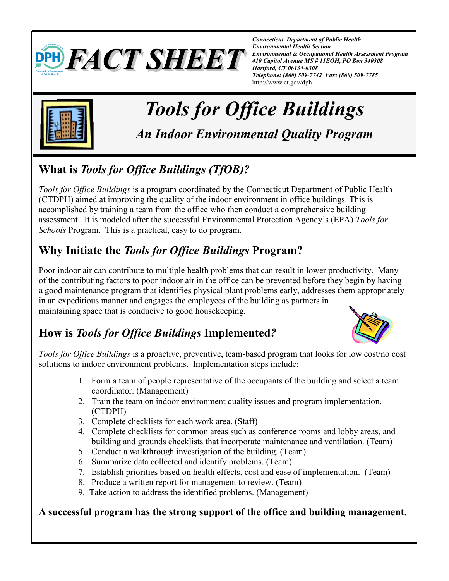

*Connecticut Department of Public Health Environmental Health Section Environmental & Occupational Health Assessment Program 410 Capitol Avenue MS # 11EOH, PO Box 340308 Hartford, CT 06134-0308 Telephone: (860) 509-7742 Fax: (860) 509-7785* http://www.ct.gov/dph



# *Tools for Office Buildings*

*An Indoor Environmental Quality Program* 

## **What is** *Tools for Office Buildings (TfOB)?*

*Tools for Office Buildings* is a program coordinated by the Connecticut Department of Public Health (CTDPH) aimed at improving the quality of the indoor environment in office buildings. This is accomplished by training a team from the office who then conduct a comprehensive building assessment. It is modeled after the successful Environmental Protection Agency's (EPA) *Tools for Schools* Program. This is a practical, easy to do program.

## **Why Initiate the** *Tools for Office Buildings* **Program?**

Poor indoor air can contribute to multiple health problems that can result in lower productivity. Many of the contributing factors to poor indoor air in the office can be prevented before they begin by having a good maintenance program that identifies physical plant problems early, addresses them appropriately in an expeditious manner and engages the employees of the building as partners in maintaining space that is conducive to good housekeeping.

## **How is** *Tools for Office Buildings* **Implemented***?*



*Tools for Office Buildings* is a proactive, preventive, team-based program that looks for low cost/no cost solutions to indoor environment problems. Implementation steps include:

- 1. Form a team of people representative of the occupants of the building and select a team coordinator. (Management)
- 2. Train the team on indoor environment quality issues and program implementation. (CTDPH)
- 3. Complete checklists for each work area. (Staff)
- 4. Complete checklists for common areas such as conference rooms and lobby areas, and building and grounds checklists that incorporate maintenance and ventilation. (Team)
- 5. Conduct a walkthrough investigation of the building. (Team)
- 6. Summarize data collected and identify problems. (Team)
- 7. Establish priorities based on health effects, cost and ease of implementation. (Team)
- 8. Produce a written report for management to review. (Team)
- 9. Take action to address the identified problems. (Management)

#### **A successful program has the strong support of the office and building management.**